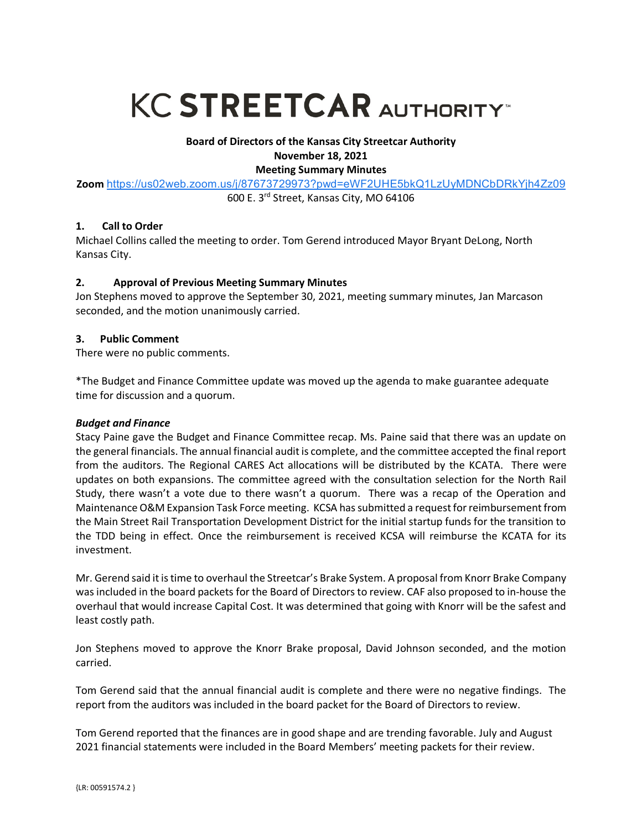# **KC STREETCAR AUTHORITY**

# **Board of Directors of the Kansas City Streetcar Authority November 18, 2021**

#### **Meeting Summary Minutes**

**Zoom** https://us02web.zoom.us/j/87673729973?pwd=eWF2UHE5bkQ1LzUyMDNCbDRkYjh4Zz09 600 E. 3rd Street, Kansas City, MO 64106

## **1. Call to Order**

Michael Collins called the meeting to order. Tom Gerend introduced Mayor Bryant DeLong, North Kansas City.

# **2. Approval of Previous Meeting Summary Minutes**

Jon Stephens moved to approve the September 30, 2021, meeting summary minutes, Jan Marcason seconded, and the motion unanimously carried.

# **3. Public Comment**

There were no public comments.

\*The Budget and Finance Committee update was moved up the agenda to make guarantee adequate time for discussion and a quorum.

## *Budget and Finance*

Stacy Paine gave the Budget and Finance Committee recap. Ms. Paine said that there was an update on the general financials. The annual financial audit is complete, and the committee accepted the final report from the auditors. The Regional CARES Act allocations will be distributed by the KCATA. There were updates on both expansions. The committee agreed with the consultation selection for the North Rail Study, there wasn't a vote due to there wasn't a quorum. There was a recap of the Operation and Maintenance O&M Expansion Task Force meeting. KCSA has submitted a request for reimbursement from the Main Street Rail Transportation Development District for the initial startup funds for the transition to the TDD being in effect. Once the reimbursement is received KCSA will reimburse the KCATA for its investment.

Mr. Gerend said it is time to overhaul the Streetcar's Brake System. A proposal from Knorr Brake Company was included in the board packets for the Board of Directors to review. CAF also proposed to in-house the overhaul that would increase Capital Cost. It was determined that going with Knorr will be the safest and least costly path.

Jon Stephens moved to approve the Knorr Brake proposal, David Johnson seconded, and the motion carried.

Tom Gerend said that the annual financial audit is complete and there were no negative findings. The report from the auditors was included in the board packet for the Board of Directors to review.

Tom Gerend reported that the finances are in good shape and are trending favorable. July and August 2021 financial statements were included in the Board Members' meeting packets for their review.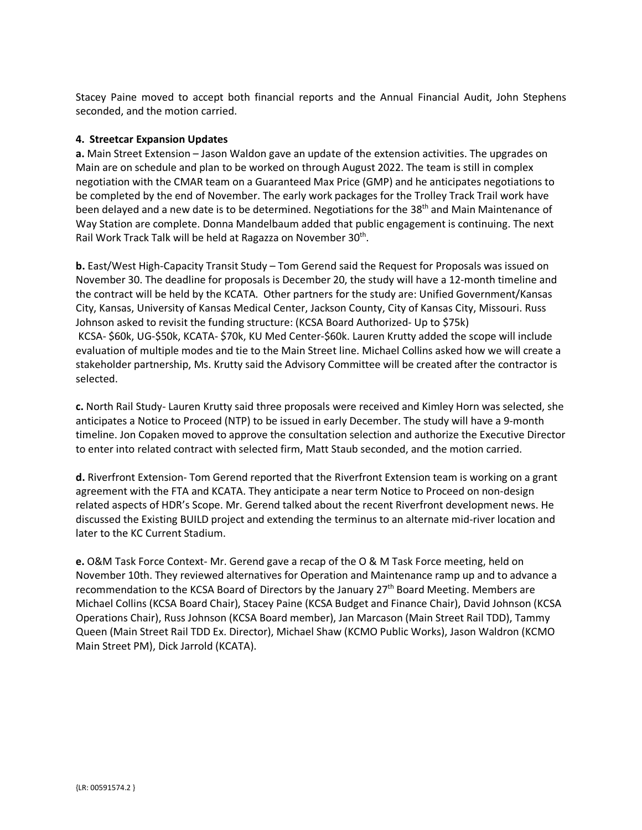Stacey Paine moved to accept both financial reports and the Annual Financial Audit, John Stephens seconded, and the motion carried.

#### **4. Streetcar Expansion Updates**

**a.** Main Street Extension – Jason Waldon gave an update of the extension activities. The upgrades on Main are on schedule and plan to be worked on through August 2022. The team is still in complex negotiation with the CMAR team on a Guaranteed Max Price (GMP) and he anticipates negotiations to be completed by the end of November. The early work packages for the Trolley Track Trail work have been delayed and a new date is to be determined. Negotiations for the 38<sup>th</sup> and Main Maintenance of Way Station are complete. Donna Mandelbaum added that public engagement is continuing. The next Rail Work Track Talk will be held at Ragazza on November 30<sup>th</sup>.

**b.** East/West High-Capacity Transit Study – Tom Gerend said the Request for Proposals was issued on November 30. The deadline for proposals is December 20, the study will have a 12-month timeline and the contract will be held by the KCATA. Other partners for the study are: Unified Government/Kansas City, Kansas, University of Kansas Medical Center, Jackson County, City of Kansas City, Missouri. Russ Johnson asked to revisit the funding structure: (KCSA Board Authorized- Up to \$75k) KCSA- \$60k, UG-\$50k, KCATA- \$70k, KU Med Center-\$60k. Lauren Krutty added the scope will include evaluation of multiple modes and tie to the Main Street line. Michael Collins asked how we will create a stakeholder partnership, Ms. Krutty said the Advisory Committee will be created after the contractor is selected.

**c.** North Rail Study- Lauren Krutty said three proposals were received and Kimley Horn was selected, she anticipates a Notice to Proceed (NTP) to be issued in early December. The study will have a 9-month timeline. Jon Copaken moved to approve the consultation selection and authorize the Executive Director to enter into related contract with selected firm, Matt Staub seconded, and the motion carried.

**d.** Riverfront Extension- Tom Gerend reported that the Riverfront Extension team is working on a grant agreement with the FTA and KCATA. They anticipate a near term Notice to Proceed on non-design related aspects of HDR's Scope. Mr. Gerend talked about the recent Riverfront development news. He discussed the Existing BUILD project and extending the terminus to an alternate mid-river location and later to the KC Current Stadium.

**e.** O&M Task Force Context- Mr. Gerend gave a recap of the O & M Task Force meeting, held on November 10th. They reviewed alternatives for Operation and Maintenance ramp up and to advance a recommendation to the KCSA Board of Directors by the January 27<sup>th</sup> Board Meeting. Members are Michael Collins (KCSA Board Chair), Stacey Paine (KCSA Budget and Finance Chair), David Johnson (KCSA Operations Chair), Russ Johnson (KCSA Board member), Jan Marcason (Main Street Rail TDD), Tammy Queen (Main Street Rail TDD Ex. Director), Michael Shaw (KCMO Public Works), Jason Waldron (KCMO Main Street PM), Dick Jarrold (KCATA).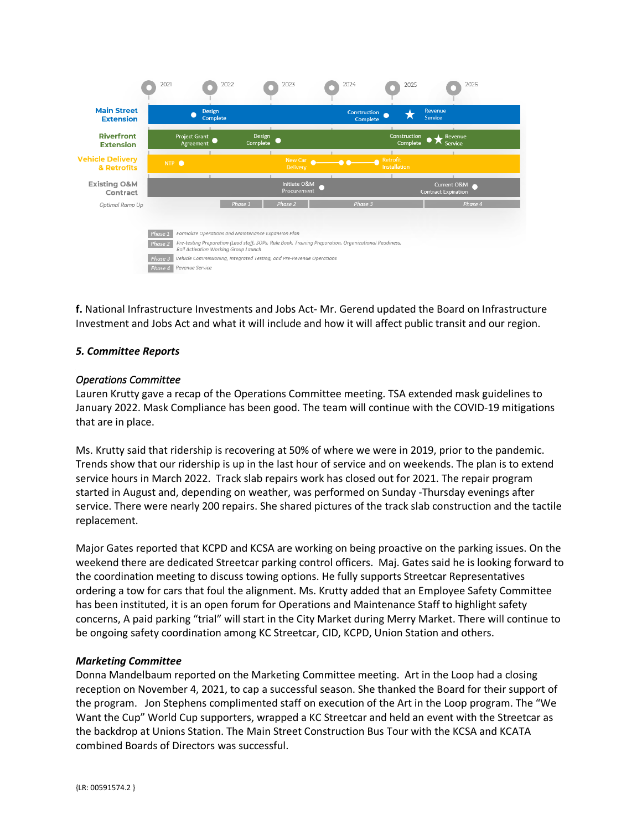

**f.** National Infrastructure Investments and Jobs Act- Mr. Gerend updated the Board on Infrastructure Investment and Jobs Act and what it will include and how it will affect public transit and our region.

## *5. Committee Reports*

#### *Operations Committee*

Lauren Krutty gave a recap of the Operations Committee meeting. TSA extended mask guidelines to January 2022. Mask Compliance has been good. The team will continue with the COVID-19 mitigations that are in place.

Ms. Krutty said that ridership is recovering at 50% of where we were in 2019, prior to the pandemic. Trends show that our ridership is up in the last hour of service and on weekends. The plan is to extend service hours in March 2022. Track slab repairs work has closed out for 2021. The repair program started in August and, depending on weather, was performed on Sunday -Thursday evenings after service. There were nearly 200 repairs. She shared pictures of the track slab construction and the tactile replacement.

Major Gates reported that KCPD and KCSA are working on being proactive on the parking issues. On the weekend there are dedicated Streetcar parking control officers. Maj. Gates said he is looking forward to the coordination meeting to discuss towing options. He fully supports Streetcar Representatives ordering a tow for cars that foul the alignment. Ms. Krutty added that an Employee Safety Committee has been instituted, it is an open forum for Operations and Maintenance Staff to highlight safety concerns, A paid parking "trial" will start in the City Market during Merry Market. There will continue to be ongoing safety coordination among KC Streetcar, CID, KCPD, Union Station and others.

#### *Marketing Committee*

Donna Mandelbaum reported on the Marketing Committee meeting. Art in the Loop had a closing reception on November 4, 2021, to cap a successful season. She thanked the Board for their support of the program. Jon Stephens complimented staff on execution of the Art in the Loop program. The "We Want the Cup" World Cup supporters, wrapped a KC Streetcar and held an event with the Streetcar as the backdrop at Unions Station. The Main Street Construction Bus Tour with the KCSA and KCATA combined Boards of Directors was successful.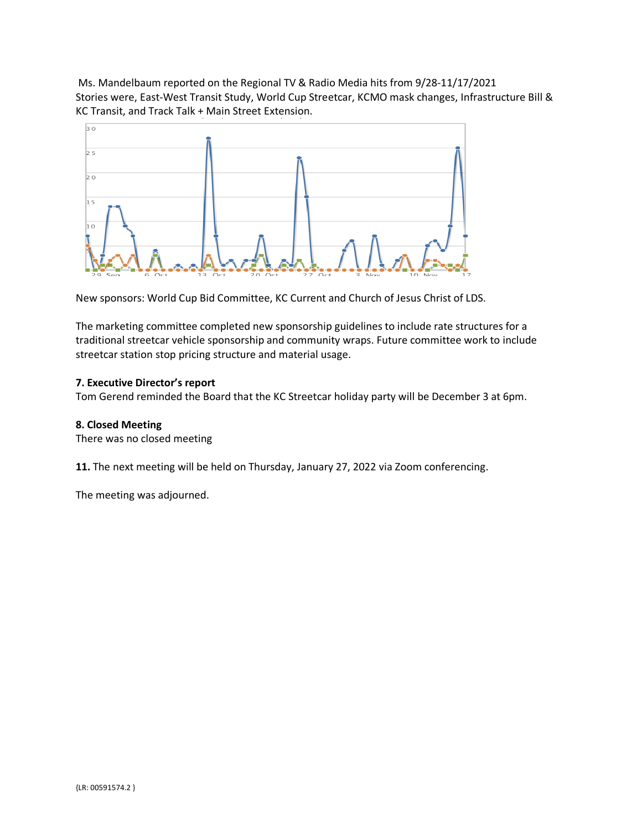Ms. Mandelbaum reported on the Regional TV & Radio Media hits from 9/28-11/17/2021 Stories were, East-West Transit Study, World Cup Streetcar, KCMO mask changes, Infrastructure Bill & KC Transit, and Track Talk + Main Street Extension.



New sponsors: World Cup Bid Committee, KC Current and Church of Jesus Christ of LDS.

The marketing committee completed new sponsorship guidelines to include rate structures for a traditional streetcar vehicle sponsorship and community wraps. Future committee work to include streetcar station stop pricing structure and material usage.

# **7. Executive Director's report**

Tom Gerend reminded the Board that the KC Streetcar holiday party will be December 3 at 6pm.

## **8. Closed Meeting**

There was no closed meeting

**11.** The next meeting will be held on Thursday, January 27, 2022 via Zoom conferencing.

The meeting was adjourned.